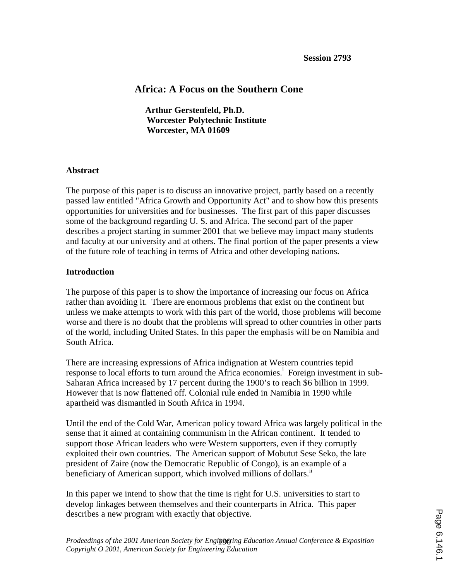# **Africa: A Focus on the Southern Cone**

**Arthur Gerstenfeld, Ph.D. Worcester Polytechnic Institute Worcester, MA 01609**

# **Abstract**

The purpose of this paper is to discuss an innovative project, partly based on a recently passed law entitled "Africa Growth and Opportunity Act" and to show how this presents opportunities for universities and for businesses. The first part of this paper discusses some of the background regarding U. S. and Africa. The second part of the paper describes a project starting in summer 2001 that we believe may impact many students and faculty at our university and at others. The final portion of the paper presents a view of the future role of teaching in terms of Africa and other developing nations.

# **Introduction**

The purpose of this paper is to show the importance of increasing our focus on Africa rather than avoiding it. There are enormous problems that exist on the continent but unless we make attempts to work with this part of the world, those problems will become worse and there is no doubt that the problems will spread to other countries in other parts of the world, including United States. In this paper the emphasis will be on Namibia and South Africa.

There are increasing expressions of Africa indignation at Western countries tepid response to local efforts to turn around the Africa economies.<sup>i</sup> Foreign investment in sub-Saharan Africa increased by 17 percent during the 1900's to reach \$6 billion in 1999. However that is now flattened off. Colonial rule ended in Namibia in 1990 while apartheid was dismantled in South Africa in 1994.

Until the end of the Cold War, American policy toward Africa was largely political in the sense that it aimed at containing communism in the African continent. It tended to support those African leaders who were Western supporters, even if they corruptly exploited their own countries. The American support of Mobutut Sese Seko, the late president of Zaire (now the Democratic Republic of Congo), is an example of a beneficiary of American support, which involved millions of dollars.<sup>ii</sup>

In this paper we intend to show that the time is right for U.S. universities to start to develop linkages between themselves and their counterparts in Africa. This paper describes a new program with exactly that objective.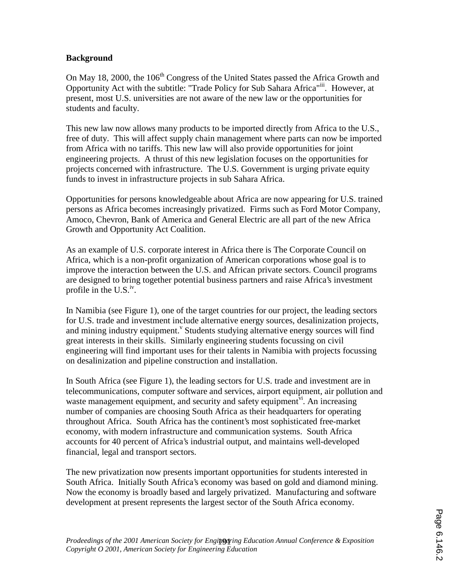#### **Background**

On May 18, 2000, the 106<sup>th</sup> Congress of the United States passed the Africa Growth and Opportunity Act with the subtitle: "Trade Policy for Sub Sahara Africa"iii. However, at present, most U.S. universities are not aware of the new law or the opportunities for students and faculty.

This new law now allows many products to be imported directly from Africa to the U.S., free of duty. This will affect supply chain management where parts can now be imported from Africa with no tariffs. This new law will also provide opportunities for joint engineering projects. A thrust of this new legislation focuses on the opportunities for projects concerned with infrastructure. The U.S. Government is urging private equity funds to invest in infrastructure projects in sub Sahara Africa.

Opportunities for persons knowledgeable about Africa are now appearing for U.S. trained persons as Africa becomes increasingly privatized. Firms such as Ford Motor Company, Amoco, Chevron, Bank of America and General Electric are all part of the new Africa Growth and Opportunity Act Coalition.

As an example of U.S. corporate interest in Africa there is The Corporate Council on Africa, which is a non-profit organization of American corporations whose goal is to improve the interaction between the U.S. and African private sectors. Council programs are designed to bring together potential business partners and raise Africa's investment profile in the  $U.S.^{iv}$ .

In Namibia (see Figure 1), one of the target countries for our project, the leading sectors for U.S. trade and investment include alternative energy sources, desalinization projects, and mining industry equipment.<sup>V</sup> Students studying alternative energy sources will find great interests in their skills. Similarly engineering students focussing on civil engineering will find important uses for their talents in Namibia with projects focussing on desalinization and pipeline construction and installation.

In South Africa (see Figure 1), the leading sectors for U.S. trade and investment are in telecommunications, computer software and services, airport equipment, air pollution and waste management equipment, and security and safety equipment<sup>vi</sup>. An increasing number of companies are choosing South Africa as their headquarters for operating throughout Africa. South Africa has the continent's most sophisticated free-market economy, with modern infrastructure and communication systems. South Africa accounts for 40 percent of Africa's industrial output, and maintains well-developed financial, legal and transport sectors.

The new privatization now presents important opportunities for students interested in South Africa. Initially South Africa's economy was based on gold and diamond mining. Now the economy is broadly based and largely privatized. Manufacturing and software development at present represents the largest sector of the South Africa economy.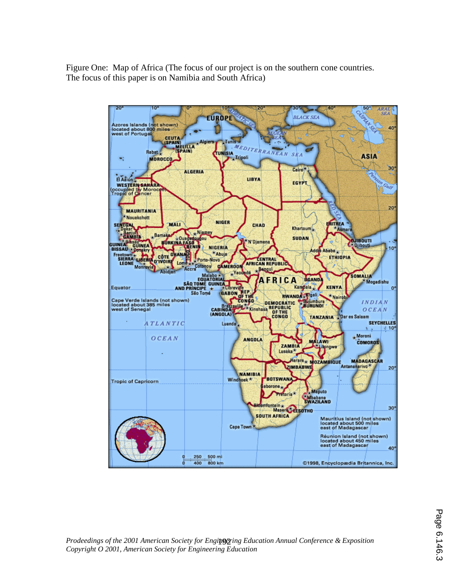Figure One: Map of Africa (The focus of our project is on the southern cone countries. The focus of this paper is on Namibia and South Africa)

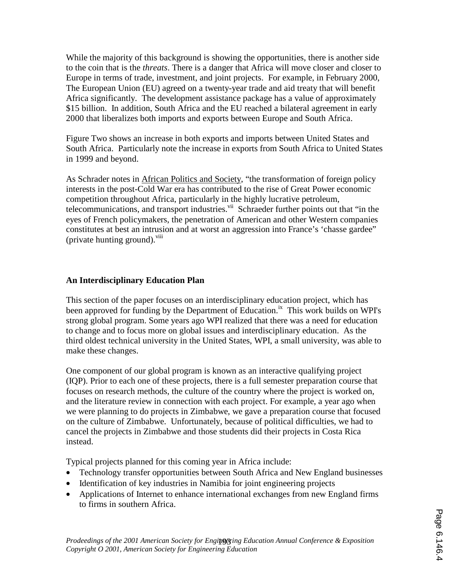While the majority of this background is showing the opportunities, there is another side to the coin that is the *threats*. There is a danger that Africa will move closer and closer to Europe in terms of trade, investment, and joint projects. For example, in February 2000, The European Union (EU) agreed on a twenty-year trade and aid treaty that will benefit Africa significantly. The development assistance package has a value of approximately \$15 billion. In addition, South Africa and the EU reached a bilateral agreement in early 2000 that liberalizes both imports and exports between Europe and South Africa.

Figure Two shows an increase in both exports and imports between United States and South Africa. Particularly note the increase in exports from South Africa to United States in 1999 and beyond.

As Schrader notes in African Politics and Society, "the transformation of foreign policy interests in the post-Cold War era has contributed to the rise of Great Power economic competition throughout Africa, particularly in the highly lucrative petroleum, telecommunications, and transport industries.<sup>vii</sup> Schraeder further points out that "in the eyes of French policymakers, the penetration of American and other Western companies constitutes at best an intrusion and at worst an aggression into France's 'chasse gardee" (private hunting ground).<sup>viii</sup>

# **An Interdisciplinary Education Plan**

This section of the paper focuses on an interdisciplinary education project, which has been approved for funding by the Department of Education.<sup>ix</sup> This work builds on WPI's strong global program. Some years ago WPI realized that there was a need for education to change and to focus more on global issues and interdisciplinary education. As the third oldest technical university in the United States, WPI, a small university, was able to make these changes.

One component of our global program is known as an interactive qualifying project (IQP). Prior to each one of these projects, there is a full semester preparation course that focuses on research methods, the culture of the country where the project is worked on, and the literature review in connection with each project. For example, a year ago when we were planning to do projects in Zimbabwe, we gave a preparation course that focused on the culture of Zimbabwe. Unfortunately, because of political difficulties, we had to cancel the projects in Zimbabwe and those students did their projects in Costa Rica instead.

Typical projects planned for this coming year in Africa include:

- Technology transfer opportunities between South Africa and New England businesses
- Identification of key industries in Namibia for joint engineering projects
- Applications of Internet to enhance international exchanges from new England firms to firms in southern Africa.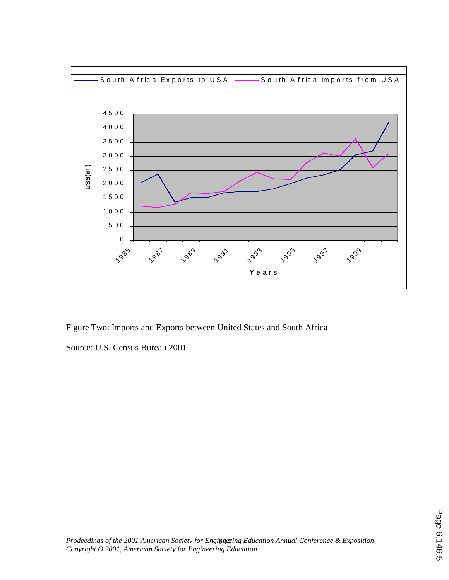

Figure Two: Imports and Exports between United States and South Africa

Source: U.S. Census Bureau 2001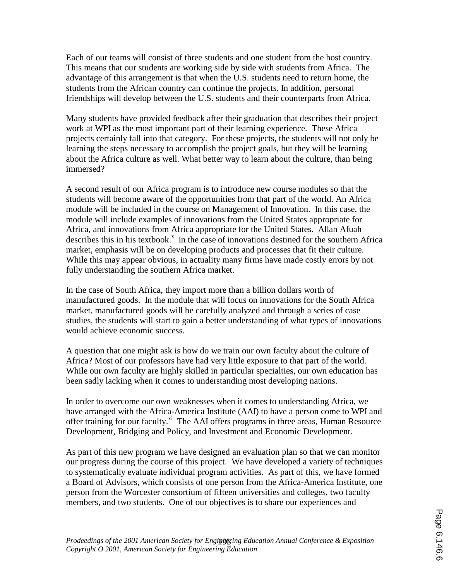Each of our teams will consist of three students and one student from the host country. This means that our students are working side by side with students from Africa. The advantage of this arrangement is that when the U.S. students need to return home, the students from the African country can continue the projects. In addition, personal friendships will develop between the U.S. students and their counterparts from Africa.

Many students have provided feedback after their graduation that describes their project work at WPI as the most important part of their learning experience. These Africa projects certainly fall into that category. For these projects, the students will not only be learning the steps necessary to accomplish the project goals, but they will be learning about the Africa culture as well. What better way to learn about the culture, than being immersed?

A second result of our Africa program is to introduce new course modules so that the students will become aware of the opportunities from that part of the world. An Africa module will be included in the course on Management of Innovation. In this case, the module will include examples of innovations from the United States appropriate for Africa, and innovations from Africa appropriate for the United States. Allan Afuah describes this in his textbook.<sup>x</sup> In the case of innovations destined for the southern Africa market, emphasis will be on developing products and processes that fit their culture. While this may appear obvious, in actuality many firms have made costly errors by not fully understanding the southern Africa market.

In the case of South Africa, they import more than a billion dollars worth of manufactured goods. In the module that will focus on innovations for the South Africa market, manufactured goods will be carefully analyzed and through a series of case studies, the students will start to gain a better understanding of what types of innovations would achieve economic success.

A question that one might ask is how do we train our own faculty about the culture of Africa? Most of our professors have had very little exposure to that part of the world. While our own faculty are highly skilled in particular specialties, our own education has been sadly lacking when it comes to understanding most developing nations.

In order to overcome our own weaknesses when it comes to understanding Africa, we have arranged with the Africa-America Institute (AAI) to have a person come to WPI and offer training for our faculty.<sup>xi</sup> The AAI offers programs in three areas, Human Resource Development, Bridging and Policy, and Investment and Economic Development.

As part of this new program we have designed an evaluation plan so that we can monitor our progress during the course of this project. We have developed a variety of techniques to systematically evaluate individual program activities. As part of this, we have formed a Board of Advisors, which consists of one person from the Africa-America Institute, one person from the Worcester consortium of fifteen universities and colleges, two faculty members, and two students. One of our objectives is to share our experiences and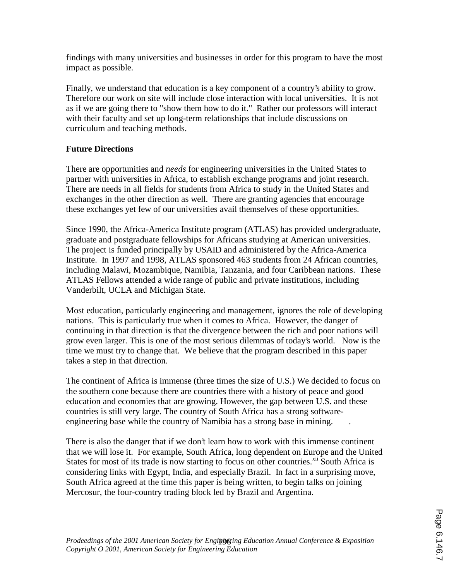findings with many universities and businesses in order for this program to have the most impact as possible.

Finally, we understand that education is a key component of a country's ability to grow. Therefore our work on site will include close interaction with local universities. It is not as if we are going there to "show them how to do it." Rather our professors will interact with their faculty and set up long-term relationships that include discussions on curriculum and teaching methods.

# **Future Directions**

There are opportunities and *needs* for engineering universities in the United States to partner with universities in Africa, to establish exchange programs and joint research. There are needs in all fields for students from Africa to study in the United States and exchanges in the other direction as well. There are granting agencies that encourage these exchanges yet few of our universities avail themselves of these opportunities.

Since 1990, the Africa-America Institute program (ATLAS) has provided undergraduate, graduate and postgraduate fellowships for Africans studying at American universities. The project is funded principally by USAID and administered by the Africa-America Institute. In 1997 and 1998, ATLAS sponsored 463 students from 24 African countries, including Malawi, Mozambique, Namibia, Tanzania, and four Caribbean nations. These ATLAS Fellows attended a wide range of public and private institutions, including Vanderbilt, UCLA and Michigan State.

Most education, particularly engineering and management, ignores the role of developing nations. This is particularly true when it comes to Africa. However, the danger of continuing in that direction is that the divergence between the rich and poor nations will grow even larger. This is one of the most serious dilemmas of today's world. Now is the time we must try to change that. We believe that the program described in this paper takes a step in that direction.

The continent of Africa is immense (three times the size of U.S.) We decided to focus on the southern cone because there are countries there with a history of peace and good education and economies that are growing. However, the gap between U.S. and these countries is still very large. The country of South Africa has a strong softwareengineering base while the country of Namibia has a strong base in mining. .

There is also the danger that if we don't learn how to work with this immense continent that we will lose it. For example, South Africa, long dependent on Europe and the United States for most of its trade is now starting to focus on other countries.<sup>xii</sup> South Africa is considering links with Egypt, India, and especially Brazil. In fact in a surprising move, South Africa agreed at the time this paper is being written, to begin talks on joining Mercosur, the four-country trading block led by Brazil and Argentina.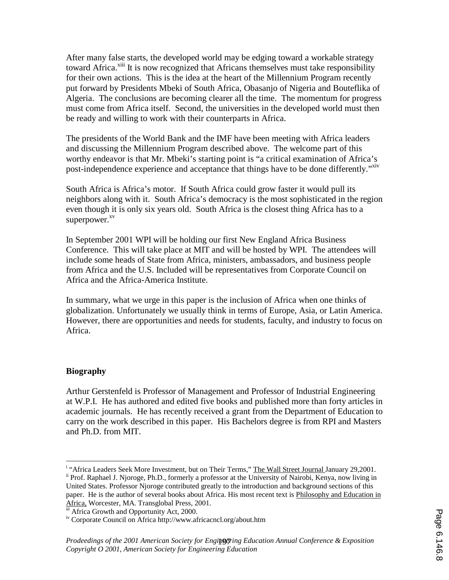After many false starts, the developed world may be edging toward a workable strategy toward Africa.<sup>xiii</sup> It is now recognized that Africans themselves must take responsibility for their own actions. This is the idea at the heart of the Millennium Program recently put forward by Presidents Mbeki of South Africa, Obasanjo of Nigeria and Bouteflika of Algeria. The conclusions are becoming clearer all the time. The momentum for progress must come from Africa itself. Second, the universities in the developed world must then be ready and willing to work with their counterparts in Africa.

The presidents of the World Bank and the IMF have been meeting with Africa leaders and discussing the Millennium Program described above. The welcome part of this worthy endeavor is that Mr. Mbeki's starting point is "a critical examination of Africa's post-independence experience and acceptance that things have to be done differently."Xiv

South Africa is Africa's motor. If South Africa could grow faster it would pull its neighbors along with it. South Africa's democracy is the most sophisticated in the region even though it is only six years old. South Africa is the closest thing Africa has to a superpower.<sup>xv</sup>

In September 2001 WPI will be holding our first New England Africa Business Conference. This will take place at MIT and will be hosted by WPI. The attendees will include some heads of State from Africa, ministers, ambassadors, and business people from Africa and the U.S. Included will be representatives from Corporate Council on Africa and the Africa-America Institute.

In summary, what we urge in this paper is the inclusion of Africa when one thinks of globalization. Unfortunately we usually think in terms of Europe, Asia, or Latin America. However, there are opportunities and needs for students, faculty, and industry to focus on Africa.

# **Biography**

Arthur Gerstenfeld is Professor of Management and Professor of Industrial Engineering at W.P.I. He has authored and edited five books and published more than forty articles in academic journals. He has recently received a grant from the Department of Education to carry on the work described in this paper. His Bachelors degree is from RPI and Masters and Ph.D. from MIT.

 i <sup>ii</sup> Prof. Raphael J. Njoroge, Ph.D., formerly a professor at the University of Nairobi, Kenya, now living in United States. Professor Njoroge contributed greatly to the introduction and background sections of this paper. He is the author of several books about Africa. His most recent text is Philosophy and Education in Africa, Worcester, MA. Transglobal Press, 2001.

iii Africa Growth and Opportunity Act, 2000.

iv Corporate Council on Africa http://www.africacncl.org/about.htm